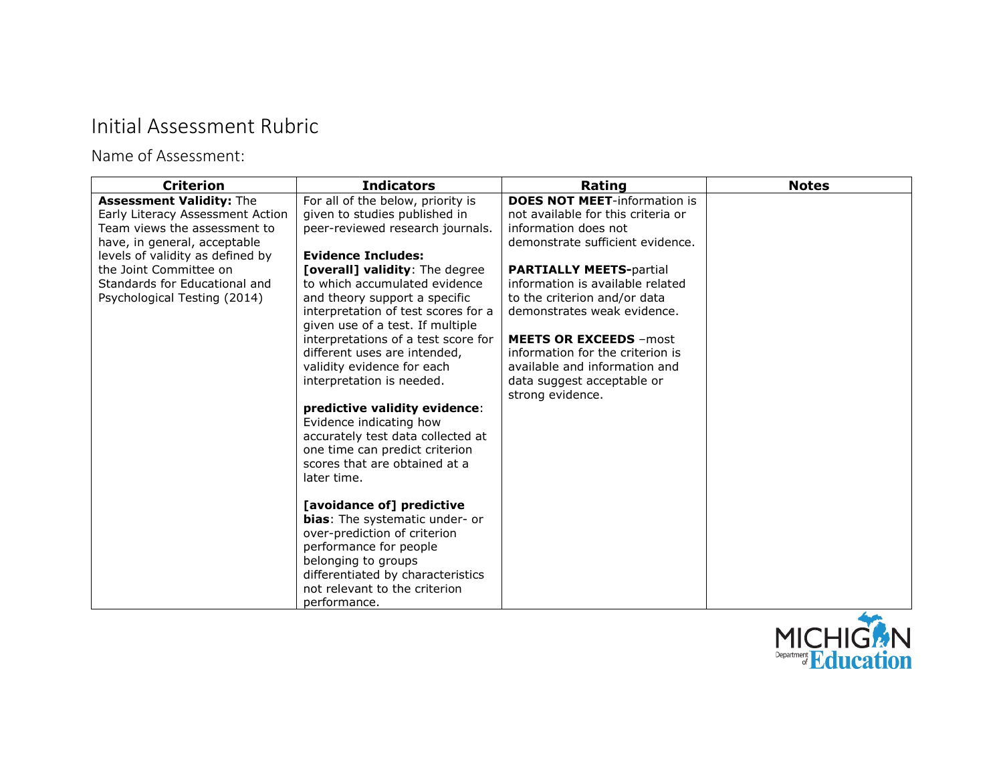## Initial Assessment Rubric

Name of Assessment:

|                                                                                                                                                                                                                                                                                                                                                                                                                                                                                                                                                                                                                                                                                                                                        | Rating                                                                                                                                                                                                                                                                                                                                                                                                                              | <b>Notes</b> |
|----------------------------------------------------------------------------------------------------------------------------------------------------------------------------------------------------------------------------------------------------------------------------------------------------------------------------------------------------------------------------------------------------------------------------------------------------------------------------------------------------------------------------------------------------------------------------------------------------------------------------------------------------------------------------------------------------------------------------------------|-------------------------------------------------------------------------------------------------------------------------------------------------------------------------------------------------------------------------------------------------------------------------------------------------------------------------------------------------------------------------------------------------------------------------------------|--------------|
| For all of the below, priority is<br>given to studies published in<br>peer-reviewed research journals.<br><b>Evidence Includes:</b><br>[overall] validity: The degree<br>to which accumulated evidence<br>and theory support a specific<br>interpretation of test scores for a<br>given use of a test. If multiple<br>interpretations of a test score for<br>different uses are intended,<br>validity evidence for each<br>interpretation is needed.<br>predictive validity evidence:<br>Evidence indicating how<br>accurately test data collected at<br>one time can predict criterion<br>scores that are obtained at a<br>later time.<br>[avoidance of] predictive<br>bias: The systematic under- or<br>over-prediction of criterion | <b>DOES NOT MEET-information is</b><br>not available for this criteria or<br>information does not<br>demonstrate sufficient evidence.<br><b>PARTIALLY MEETS-partial</b><br>information is available related<br>to the criterion and/or data<br>demonstrates weak evidence.<br><b>MEETS OR EXCEEDS - most</b><br>information for the criterion is<br>available and information and<br>data suggest acceptable or<br>strong evidence. |              |
|                                                                                                                                                                                                                                                                                                                                                                                                                                                                                                                                                                                                                                                                                                                                        |                                                                                                                                                                                                                                                                                                                                                                                                                                     |              |
| belonging to groups<br>differentiated by characteristics<br>not relevant to the criterion                                                                                                                                                                                                                                                                                                                                                                                                                                                                                                                                                                                                                                              |                                                                                                                                                                                                                                                                                                                                                                                                                                     |              |
|                                                                                                                                                                                                                                                                                                                                                                                                                                                                                                                                                                                                                                                                                                                                        | performance for people<br>performance.                                                                                                                                                                                                                                                                                                                                                                                              |              |

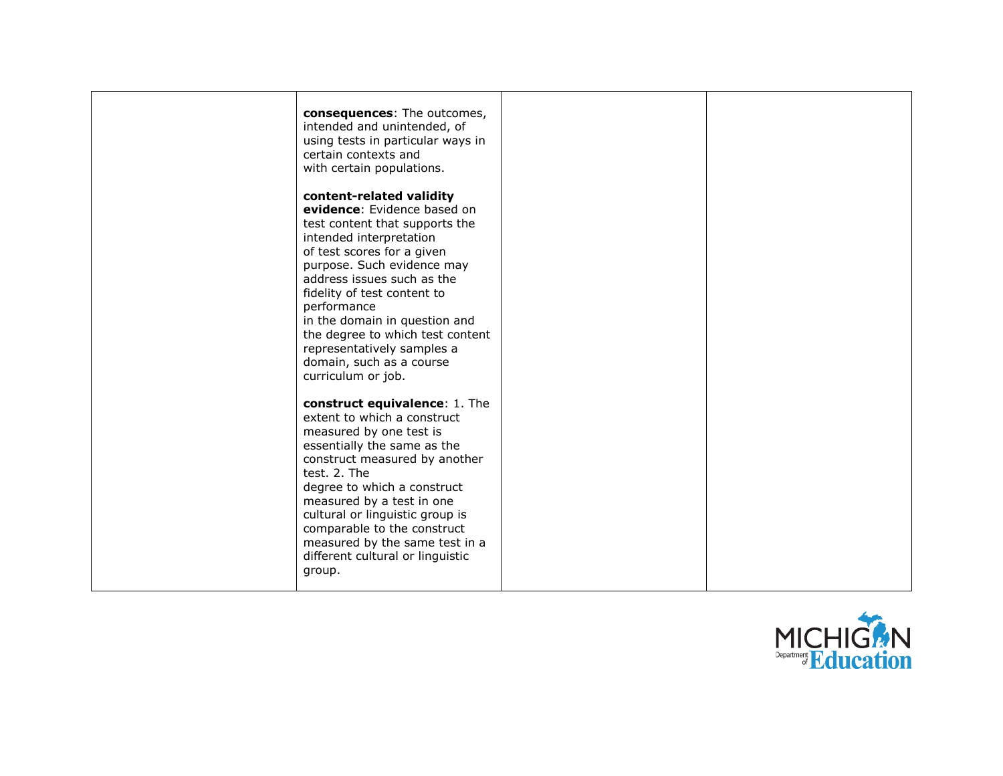| consequences: The outcomes,<br>intended and unintended, of<br>using tests in particular ways in<br>certain contexts and<br>with certain populations.                                                                                                                                                                                                                                                              |  |
|-------------------------------------------------------------------------------------------------------------------------------------------------------------------------------------------------------------------------------------------------------------------------------------------------------------------------------------------------------------------------------------------------------------------|--|
| content-related validity<br>evidence: Evidence based on<br>test content that supports the<br>intended interpretation<br>of test scores for a given<br>purpose. Such evidence may<br>address issues such as the<br>fidelity of test content to<br>performance<br>in the domain in question and<br>the degree to which test content<br>representatively samples a<br>domain, such as a course<br>curriculum or job. |  |
| <b>construct equivalence: 1. The</b><br>extent to which a construct<br>measured by one test is<br>essentially the same as the<br>construct measured by another<br>test. 2. The<br>degree to which a construct<br>measured by a test in one<br>cultural or linguistic group is<br>comparable to the construct<br>measured by the same test in a<br>different cultural or linguistic<br>group.                      |  |

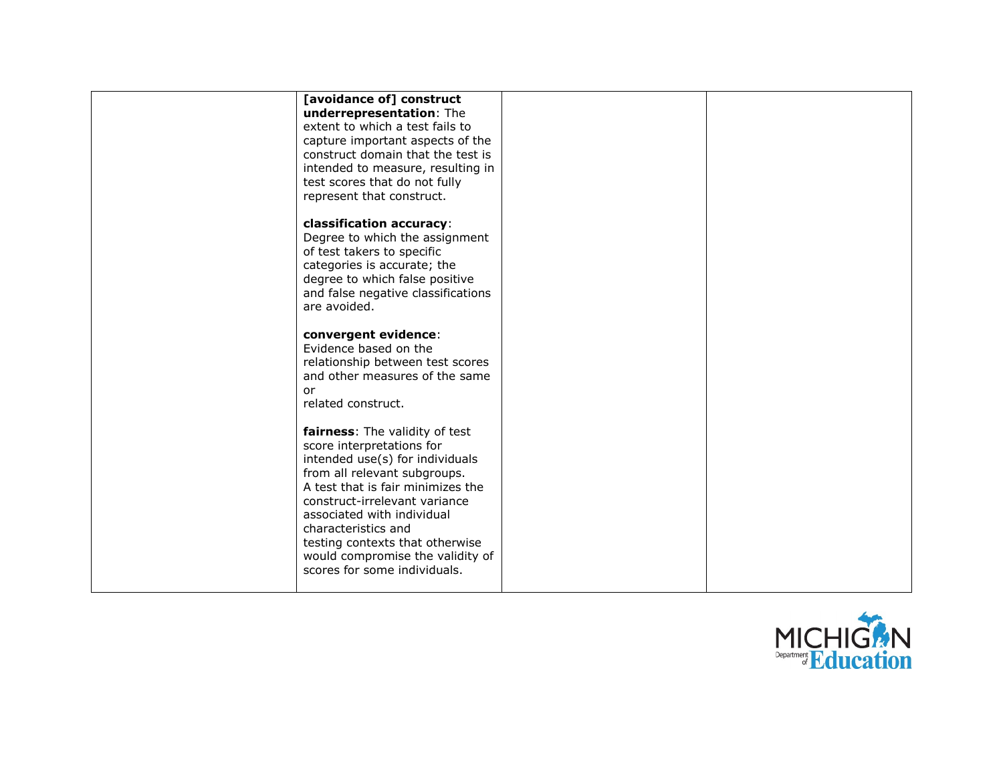| [avoidance of] construct<br>underrepresentation: The<br>extent to which a test fails to<br>capture important aspects of the<br>construct domain that the test is<br>intended to measure, resulting in<br>test scores that do not fully<br>represent that construct.                                                                                              |  |
|------------------------------------------------------------------------------------------------------------------------------------------------------------------------------------------------------------------------------------------------------------------------------------------------------------------------------------------------------------------|--|
| classification accuracy:<br>Degree to which the assignment<br>of test takers to specific<br>categories is accurate; the<br>degree to which false positive<br>and false negative classifications<br>are avoided.                                                                                                                                                  |  |
| convergent evidence:<br>Evidence based on the<br>relationship between test scores<br>and other measures of the same<br>or<br>related construct.                                                                                                                                                                                                                  |  |
| fairness: The validity of test<br>score interpretations for<br>intended use(s) for individuals<br>from all relevant subgroups.<br>A test that is fair minimizes the<br>construct-irrelevant variance<br>associated with individual<br>characteristics and<br>testing contexts that otherwise<br>would compromise the validity of<br>scores for some individuals. |  |

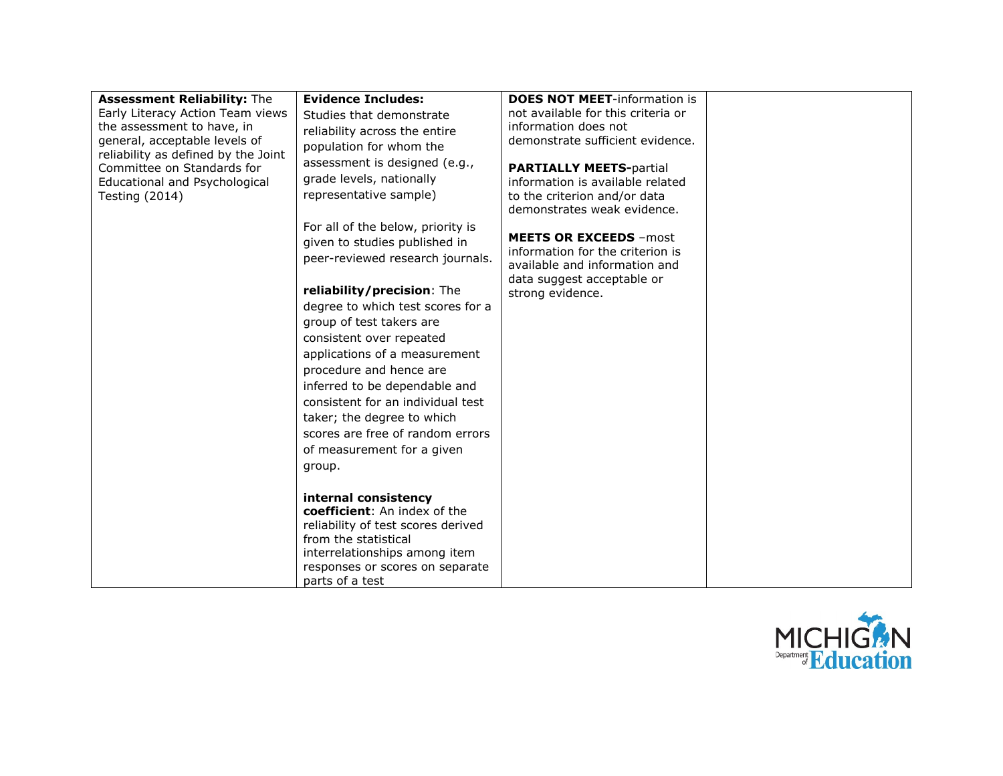| <b>Assessment Reliability: The</b>                                   | <b>Evidence Includes:</b>                                  | <b>DOES NOT MEET-information is</b>                               |  |
|----------------------------------------------------------------------|------------------------------------------------------------|-------------------------------------------------------------------|--|
| Early Literacy Action Team views                                     | Studies that demonstrate                                   | not available for this criteria or                                |  |
| the assessment to have, in                                           | reliability across the entire                              | information does not                                              |  |
| general, acceptable levels of<br>reliability as defined by the Joint | population for whom the                                    | demonstrate sufficient evidence.                                  |  |
| Committee on Standards for                                           | assessment is designed (e.g.,                              | <b>PARTIALLY MEETS-partial</b>                                    |  |
| Educational and Psychological                                        | grade levels, nationally                                   | information is available related                                  |  |
| <b>Testing (2014)</b>                                                | representative sample)                                     | to the criterion and/or data                                      |  |
|                                                                      |                                                            | demonstrates weak evidence.                                       |  |
|                                                                      | For all of the below, priority is                          |                                                                   |  |
|                                                                      | given to studies published in                              | <b>MEETS OR EXCEEDS - most</b>                                    |  |
|                                                                      | peer-reviewed research journals.                           | information for the criterion is<br>available and information and |  |
|                                                                      |                                                            | data suggest acceptable or                                        |  |
|                                                                      | reliability/precision: The                                 | strong evidence.                                                  |  |
|                                                                      | degree to which test scores for a                          |                                                                   |  |
|                                                                      | group of test takers are                                   |                                                                   |  |
|                                                                      | consistent over repeated                                   |                                                                   |  |
|                                                                      | applications of a measurement                              |                                                                   |  |
|                                                                      | procedure and hence are                                    |                                                                   |  |
|                                                                      | inferred to be dependable and                              |                                                                   |  |
|                                                                      | consistent for an individual test                          |                                                                   |  |
|                                                                      | taker; the degree to which                                 |                                                                   |  |
|                                                                      | scores are free of random errors                           |                                                                   |  |
|                                                                      | of measurement for a given                                 |                                                                   |  |
|                                                                      | group.                                                     |                                                                   |  |
|                                                                      |                                                            |                                                                   |  |
|                                                                      | internal consistency                                       |                                                                   |  |
|                                                                      | coefficient: An index of the                               |                                                                   |  |
|                                                                      | reliability of test scores derived<br>from the statistical |                                                                   |  |
|                                                                      | interrelationships among item                              |                                                                   |  |
|                                                                      | responses or scores on separate                            |                                                                   |  |
|                                                                      | parts of a test                                            |                                                                   |  |

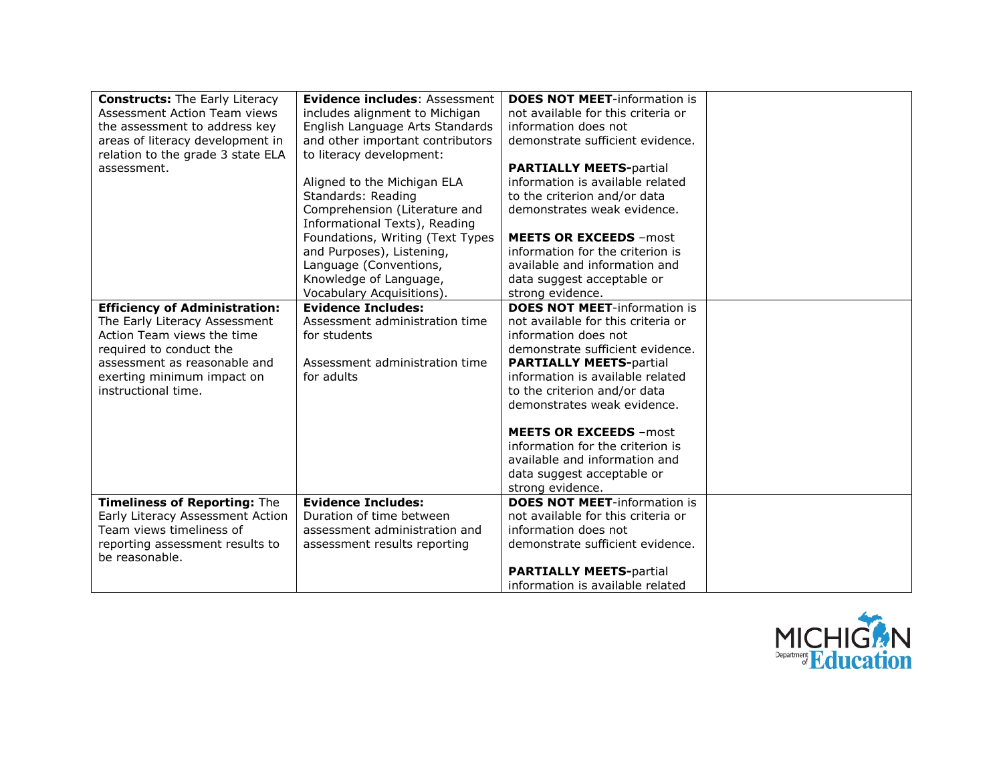| <b>Constructs:</b> The Early Literacy<br><b>Assessment Action Team views</b><br>the assessment to address key<br>areas of literacy development in<br>relation to the grade 3 state ELA                              | <b>Evidence includes: Assessment</b><br>includes alignment to Michigan<br>English Language Arts Standards<br>and other important contributors<br>to literacy development:                                                                | <b>DOES NOT MEET-information is</b><br>not available for this criteria or<br>information does not<br>demonstrate sufficient evidence.                                                                                                                                                                                                                                                                                                                   |  |
|---------------------------------------------------------------------------------------------------------------------------------------------------------------------------------------------------------------------|------------------------------------------------------------------------------------------------------------------------------------------------------------------------------------------------------------------------------------------|---------------------------------------------------------------------------------------------------------------------------------------------------------------------------------------------------------------------------------------------------------------------------------------------------------------------------------------------------------------------------------------------------------------------------------------------------------|--|
| assessment.                                                                                                                                                                                                         | Aligned to the Michigan ELA<br>Standards: Reading<br>Comprehension (Literature and<br>Informational Texts), Reading<br>Foundations, Writing (Text Types<br>and Purposes), Listening,<br>Language (Conventions,<br>Knowledge of Language, | <b>PARTIALLY MEETS-partial</b><br>information is available related<br>to the criterion and/or data<br>demonstrates weak evidence.<br><b>MEETS OR EXCEEDS - most</b><br>information for the criterion is<br>available and information and<br>data suggest acceptable or                                                                                                                                                                                  |  |
| <b>Efficiency of Administration:</b><br>The Early Literacy Assessment<br>Action Team views the time<br>required to conduct the<br>assessment as reasonable and<br>exerting minimum impact on<br>instructional time. | Vocabulary Acquisitions).<br><b>Evidence Includes:</b><br>Assessment administration time<br>for students<br>Assessment administration time<br>for adults                                                                                 | strong evidence.<br><b>DOES NOT MEET-information is</b><br>not available for this criteria or<br>information does not<br>demonstrate sufficient evidence.<br><b>PARTIALLY MEETS-partial</b><br>information is available related<br>to the criterion and/or data<br>demonstrates weak evidence.<br><b>MEETS OR EXCEEDS - most</b><br>information for the criterion is<br>available and information and<br>data suggest acceptable or<br>strong evidence. |  |
| <b>Timeliness of Reporting: The</b><br>Early Literacy Assessment Action<br>Team views timeliness of<br>reporting assessment results to<br>be reasonable.                                                            | <b>Evidence Includes:</b><br>Duration of time between<br>assessment administration and<br>assessment results reporting                                                                                                                   | <b>DOES NOT MEET-information is</b><br>not available for this criteria or<br>information does not<br>demonstrate sufficient evidence.<br><b>PARTIALLY MEETS-partial</b><br>information is available related                                                                                                                                                                                                                                             |  |